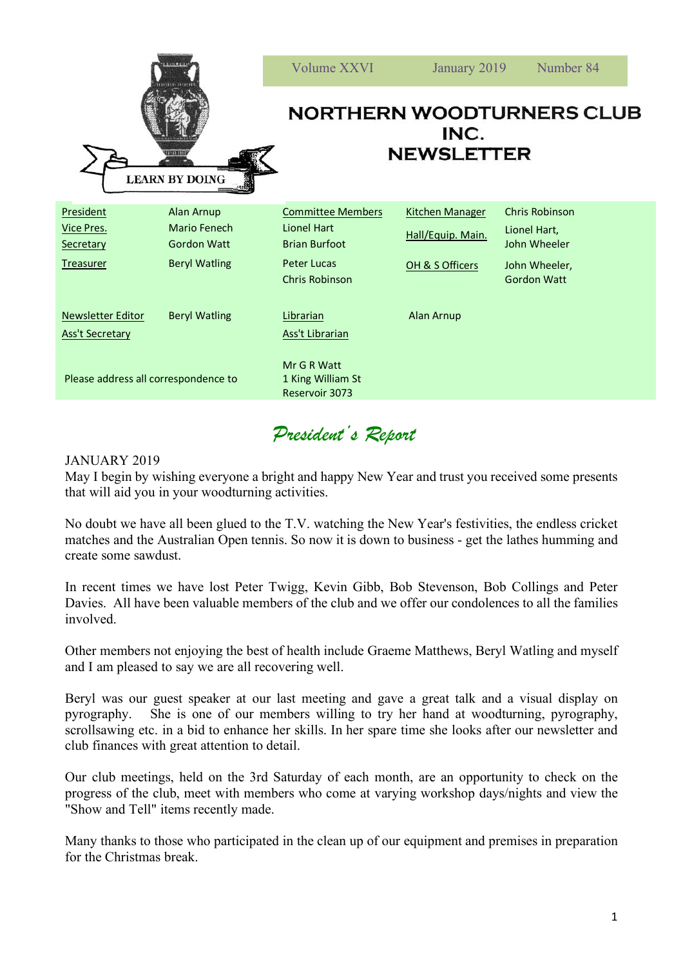| <b>FREESSHI</b><br><b>LEARN BY DOING</b>                 |                                                                          | <b>Volume XXVI</b>                                                                                      | January 2019                                                   | Number 84                                                                                    |
|----------------------------------------------------------|--------------------------------------------------------------------------|---------------------------------------------------------------------------------------------------------|----------------------------------------------------------------|----------------------------------------------------------------------------------------------|
|                                                          |                                                                          | <b>NORTHERN WOODTURNERS CLUB</b><br>INC.<br><b>NEWSLETTER</b>                                           |                                                                |                                                                                              |
| President<br>Vice Pres.<br>Secretary<br><b>Treasurer</b> | Alan Arnup<br>Mario Fenech<br><b>Gordon Watt</b><br><b>Beryl Watling</b> | <b>Committee Members</b><br>Lionel Hart<br><b>Brian Burfoot</b><br>Peter Lucas<br><b>Chris Robinson</b> | <b>Kitchen Manager</b><br>Hall/Equip. Main.<br>OH & S Officers | <b>Chris Robinson</b><br>Lionel Hart,<br>John Wheeler<br>John Wheeler,<br><b>Gordon Watt</b> |
| Newsletter Editor<br><b>Ass't Secretary</b>              | <b>Beryl Watling</b>                                                     | Librarian<br>Ass't Librarian                                                                            | Alan Arnup                                                     |                                                                                              |
| Please address all correspondence to                     |                                                                          | Mr G R Watt<br>1 King William St<br>Reservoir 3073                                                      |                                                                |                                                                                              |

## *President's Report*

## JANUARY 2019

May I begin by wishing everyone a bright and happy New Year and trust you received some presents that will aid you in your woodturning activities.

No doubt we have all been glued to the T.V. watching the New Year's festivities, the endless cricket matches and the Australian Open tennis. So now it is down to business - get the lathes humming and create some sawdust.

In recent times we have lost Peter Twigg, Kevin Gibb, Bob Stevenson, Bob Collings and Peter Davies. All have been valuable members of the club and we offer our condolences to all the families involved.

Other members not enjoying the best of health include Graeme Matthews, Beryl Watling and myself and I am pleased to say we are all recovering well.

Beryl was our guest speaker at our last meeting and gave a great talk and a visual display on pyrography. She is one of our members willing to try her hand at woodturning, pyrography, scrollsawing etc. in a bid to enhance her skills. In her spare time she looks after our newsletter and club finances with great attention to detail.

Our club meetings, held on the 3rd Saturday of each month, are an opportunity to check on the progress of the club, meet with members who come at varying workshop days/nights and view the "Show and Tell" items recently made.

Many thanks to those who participated in the clean up of our equipment and premises in preparation for the Christmas break.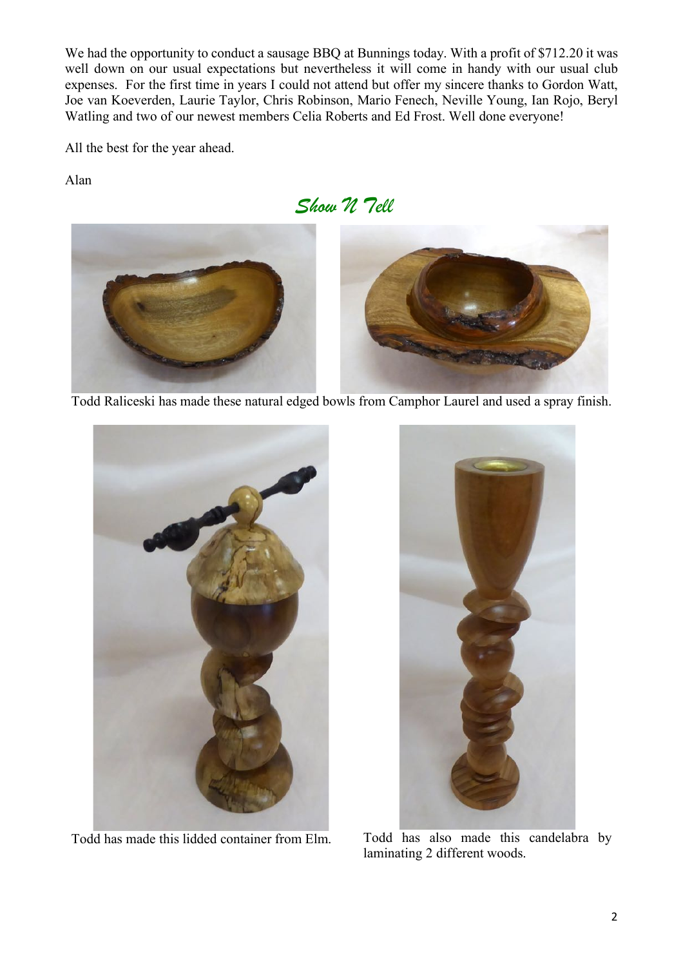We had the opportunity to conduct a sausage BBQ at Bunnings today. With a profit of \$712.20 it was well down on our usual expectations but nevertheless it will come in handy with our usual club expenses. For the first time in years I could not attend but offer my sincere thanks to Gordon Watt, Joe van Koeverden, Laurie Taylor, Chris Robinson, Mario Fenech, Neville Young, Ian Rojo, Beryl Watling and two of our newest members Celia Roberts and Ed Frost. Well done everyone!

All the best for the year ahead.

Alan

*Show N Tell*



Todd Raliceski has made these natural edged bowls from Camphor Laurel and used a spray finish.



Todd has made this lidded container from Elm. Todd has also made this candelabra by



laminating 2 different woods.